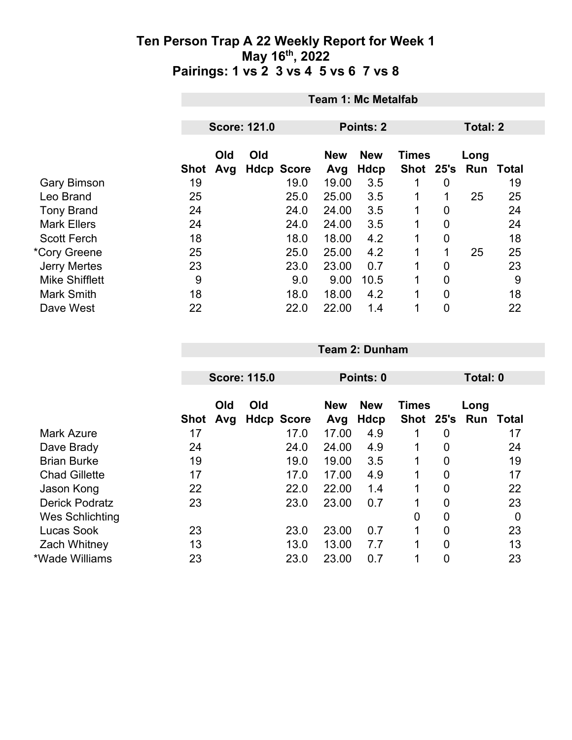|                       |            | <b>Team 1: Mc Metalfab</b>              |     |                           |              |             |              |                |                     |    |  |  |
|-----------------------|------------|-----------------------------------------|-----|---------------------------|--------------|-------------|--------------|----------------|---------------------|----|--|--|
|                       |            | <b>Score: 121.0</b><br><b>Points: 2</b> |     |                           |              |             |              | Total: 2       |                     |    |  |  |
|                       |            | Old                                     | Old |                           | <b>New</b>   | <b>New</b>  | <b>Times</b> |                | Long                |    |  |  |
| <b>Gary Bimson</b>    | Shot<br>19 | Avg                                     |     | <b>Hdcp Score</b><br>19.0 | Avg<br>19.00 | Hdcp<br>3.5 |              | 0              | Shot 25's Run Total | 19 |  |  |
| Leo Brand             | 25         |                                         |     | 25.0                      | 25.00        | 3.5         | 1            | 1              | 25                  | 25 |  |  |
| <b>Tony Brand</b>     | 24         |                                         |     | 24.0                      | 24.00        | 3.5         | $\mathbf 1$  | 0              |                     | 24 |  |  |
| <b>Mark Ellers</b>    | 24         |                                         |     | 24.0                      | 24.00        | 3.5         | 1            | 0              |                     | 24 |  |  |
| <b>Scott Ferch</b>    | 18         |                                         |     | 18.0                      | 18.00        | 4.2         | 1            | $\mathbf 0$    |                     | 18 |  |  |
| *Cory Greene          | 25         |                                         |     | 25.0                      | 25.00        | 4.2         | $\mathbf{1}$ | $\mathbf{1}$   | 25                  | 25 |  |  |
| <b>Jerry Mertes</b>   | 23         |                                         |     | 23.0                      | 23.00        | 0.7         | 1            | $\mathbf 0$    |                     | 23 |  |  |
| <b>Mike Shifflett</b> | 9          |                                         |     | 9.0                       | 9.00         | 10.5        | 1            | $\mathbf 0$    |                     | 9  |  |  |
| <b>Mark Smith</b>     | 18         |                                         |     | 18.0                      | 18.00        | 4.2         | 1            | $\overline{0}$ |                     | 18 |  |  |
| Dave West             | 22         |                                         |     | 22.0                      | 22.00        | 1.4         | 1            | 0              |                     | 22 |  |  |

|                       |      | <b>Score: 115.0</b> |     |                   |                   | Points: 0          |                           | Total: 0       |             |       |
|-----------------------|------|---------------------|-----|-------------------|-------------------|--------------------|---------------------------|----------------|-------------|-------|
|                       | Shot | Old<br>Avg          | Old | <b>Hdcp Score</b> | <b>New</b><br>Avg | <b>New</b><br>Hdcp | <b>Times</b><br>Shot 25's |                | Long<br>Run | Total |
| <b>Mark Azure</b>     | 17   |                     |     | 17.0              | 17.00             | 4.9                | 1                         | 0              |             | 17    |
| Dave Brady            | 24   |                     |     | 24.0              | 24.00             | 4.9                |                           | 0              |             | 24    |
| <b>Brian Burke</b>    | 19   |                     |     | 19.0              | 19.00             | 3.5                |                           | 0              |             | 19    |
| <b>Chad Gillette</b>  | 17   |                     |     | 17.0              | 17.00             | 4.9                | 1                         | 0              |             | 17    |
| Jason Kong            | 22   |                     |     | 22.0              | 22.00             | 1.4                |                           | 0              |             | 22    |
| <b>Derick Podratz</b> | 23   |                     |     | 23.0              | 23.00             | 0.7                |                           | 0              |             | 23    |
| Wes Schlichting       |      |                     |     |                   |                   |                    | $\overline{0}$            | $\overline{0}$ |             | 0     |
| Lucas Sook            | 23   |                     |     | 23.0              | 23.00             | 0.7                | 1                         | 0              |             | 23    |
| <b>Zach Whitney</b>   | 13   |                     |     | 13.0              | 13.00             | 7.7                | 1                         | $\overline{0}$ |             | 13    |
| *Wade Williams        | 23   |                     |     | 23.0              | 23.00             | 0.7                |                           | 0              |             | 23    |

**Team 2: Dunham**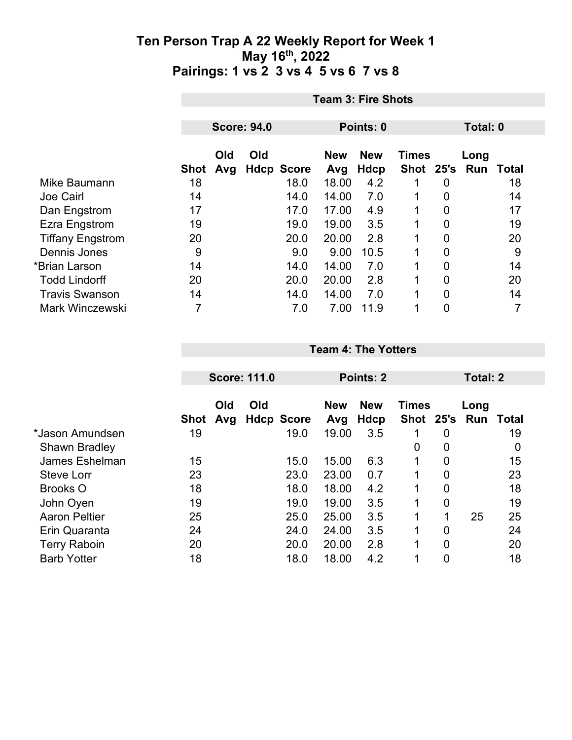|                         |      | <b>Team 3: Fire Shots</b> |                    |                   |                   |                           |                               |                |          |       |  |
|-------------------------|------|---------------------------|--------------------|-------------------|-------------------|---------------------------|-------------------------------|----------------|----------|-------|--|
|                         |      |                           | <b>Score: 94.0</b> |                   |                   | Points: 0                 |                               |                | Total: 0 |       |  |
|                         | Shot | Old<br>Avg                | Old                | <b>Hdcp Score</b> | <b>New</b><br>Avg | <b>New</b><br><b>Hdcp</b> | <b>Times</b><br>Shot 25's Run |                | Long     | Total |  |
| Mike Baumann            | 18   |                           |                    | 18.0              | 18.00             | 4.2                       |                               | 0              |          | 18    |  |
| Joe Cairl               | 14   |                           |                    | 14.0              | 14.00             | 7.0                       | 1                             | 0              |          | 14    |  |
| Dan Engstrom            | 17   |                           |                    | 17.0              | 17.00             | 4.9                       | 1                             | 0              |          | 17    |  |
| Ezra Engstrom           | 19   |                           |                    | 19.0              | 19.00             | 3.5                       | 1                             | 0              |          | 19    |  |
| <b>Tiffany Engstrom</b> | 20   |                           |                    | 20.0              | 20.00             | 2.8                       | 1                             | $\overline{0}$ |          | 20    |  |
| Dennis Jones            | 9    |                           |                    | 9.0               | 9.00              | 10.5                      | 1                             | 0              |          | 9     |  |
| *Brian Larson           | 14   |                           |                    | 14.0              | 14.00             | 7.0                       |                               | 0              |          | 14    |  |
| <b>Todd Lindorff</b>    | 20   |                           |                    | 20.0              | 20.00             | 2.8                       | 1                             | 0              |          | 20    |  |
| <b>Travis Swanson</b>   | 14   |                           |                    | 14.0              | 14.00             | 7.0                       | 1                             | $\overline{0}$ |          | 14    |  |
| <b>Mark Winczewski</b>  | 7    |                           |                    | 7.0               | 7.00              | 11.9                      | 1                             | 0              |          | 7     |  |

|                      |      | <b>Score: 111.0</b> |     |                   |                   | <b>Points: 2</b>   |              |                | <b>Total: 2</b>             |    |
|----------------------|------|---------------------|-----|-------------------|-------------------|--------------------|--------------|----------------|-----------------------------|----|
|                      | Shot | Old<br>Avg          | Old | <b>Hdcp Score</b> | <b>New</b><br>Avg | <b>New</b><br>Hdcp | <b>Times</b> |                | Long<br>Shot 25's Run Total |    |
| *Jason Amundsen      | 19   |                     |     | 19.0              | 19.00             | 3.5                |              | 0              |                             | 19 |
| <b>Shawn Bradley</b> |      |                     |     |                   |                   |                    | 0            | $\mathbf 0$    |                             | 0  |
| James Eshelman       | 15   |                     |     | 15.0              | 15.00             | 6.3                | 1            | 0              |                             | 15 |
| <b>Steve Lorr</b>    | 23   |                     |     | 23.0              | 23.00             | 0.7                | 1            | 0              |                             | 23 |
| <b>Brooks O</b>      | 18   |                     |     | 18.0              | 18.00             | 4.2                | 1            | 0              |                             | 18 |
| John Oyen            | 19   |                     |     | 19.0              | 19.00             | 3.5                | 1            | 0              |                             | 19 |
| <b>Aaron Peltier</b> | 25   |                     |     | 25.0              | 25.00             | 3.5                | 1            | 1              | 25                          | 25 |
| Erin Quaranta        | 24   |                     |     | 24.0              | 24.00             | 3.5                | $\mathbf 1$  | 0              |                             | 24 |
| <b>Terry Raboin</b>  | 20   |                     |     | 20.0              | 20.00             | 2.8                | 1            | $\overline{0}$ |                             | 20 |
| <b>Barb Yotter</b>   | 18   |                     |     | 18.0              | 18.00             | 4.2                | 1            | 0              |                             | 18 |

**Team 4: The Yotters**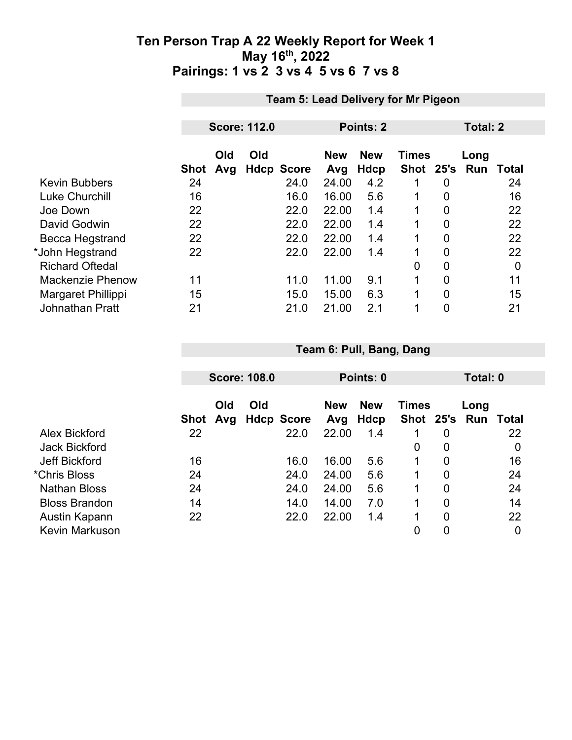|                         |      | <b>Team 5: Lead Delivery for Mr Pigeon</b> |                     |                   |                   |                    |                           |                |             |              |  |
|-------------------------|------|--------------------------------------------|---------------------|-------------------|-------------------|--------------------|---------------------------|----------------|-------------|--------------|--|
|                         |      |                                            | <b>Score: 112.0</b> |                   |                   | Points: 2          |                           |                | Total: 2    |              |  |
|                         |      |                                            |                     |                   |                   |                    |                           |                |             |              |  |
|                         | Shot | Old<br>Avg                                 | Old                 | <b>Hdcp Score</b> | <b>New</b><br>Avg | <b>New</b><br>Hdcp | <b>Times</b><br>Shot 25's |                | Long<br>Run | <b>Total</b> |  |
| <b>Kevin Bubbers</b>    | 24   |                                            |                     | 24.0              | 24.00             | 4.2                | 1                         | 0              |             | 24           |  |
| <b>Luke Churchill</b>   | 16   |                                            |                     | 16.0              | 16.00             | 5.6                | 1                         | 0              |             | 16           |  |
| Joe Down                | 22   |                                            |                     | 22.0              | 22.00             | 1.4                | 1                         | $\overline{0}$ |             | 22           |  |
| David Godwin            | 22   |                                            |                     | 22.0              | 22.00             | 1.4                | 1                         | $\overline{0}$ |             | 22           |  |
| <b>Becca Hegstrand</b>  | 22   |                                            |                     | 22.0              | 22.00             | 1.4                | 1                         | 0              |             | 22           |  |
| *John Hegstrand         | 22   |                                            |                     | 22.0              | 22.00             | 1.4                | 1                         | $\overline{0}$ |             | 22           |  |
| <b>Richard Oftedal</b>  |      |                                            |                     |                   |                   |                    | 0                         | 0              |             | $\mathbf 0$  |  |
| <b>Mackenzie Phenow</b> | 11   |                                            |                     | 11.0              | 11.00             | 9.1                | 1                         | $\overline{0}$ |             | 11           |  |
| Margaret Phillippi      | 15   |                                            |                     | 15.0              | 15.00             | 6.3                | 1                         | $\mathbf 0$    |             | 15           |  |
| <b>Johnathan Pratt</b>  | 21   |                                            |                     | 21.0              | 21.00             | 2.1                | 1                         | $\overline{0}$ |             | 21           |  |

|                       |             | <b>Score: 108.0</b> |                          |                   | Points: 0                 |              |                | Total: 0              |       |  |
|-----------------------|-------------|---------------------|--------------------------|-------------------|---------------------------|--------------|----------------|-----------------------|-------|--|
|                       | <b>Shot</b> | Old<br>Avg          | Old<br><b>Hdcp Score</b> | <b>New</b><br>Avg | <b>New</b><br><b>Hdcp</b> | <b>Times</b> |                | Long<br>Shot 25's Run | Total |  |
| Alex Bickford         | 22          |                     | 22.0                     | 22.00             | 1.4                       |              | 0              |                       | 22    |  |
| <b>Jack Bickford</b>  |             |                     |                          |                   |                           | 0            | 0              |                       | 0     |  |
| Jeff Bickford         | 16          |                     | 16.0                     | 16.00             | 5.6                       | 1            | $\overline{0}$ |                       | 16    |  |
| *Chris Bloss          | 24          |                     | 24.0                     | 24.00             | 5.6                       | 1            | $\overline{0}$ |                       | 24    |  |
| <b>Nathan Bloss</b>   | 24          |                     | 24.0                     | 24.00             | 5.6                       | 1            | 0              |                       | 24    |  |
| <b>Bloss Brandon</b>  | 14          |                     | 14.0                     | 14.00             | 7.0                       | 1            | 0              |                       | 14    |  |
| Austin Kapann         | 22          |                     | 22.0                     | 22.00             | 1.4                       | 1            | 0              |                       | 22    |  |
| <b>Kevin Markuson</b> |             |                     |                          |                   |                           | 0            | 0              |                       | 0     |  |

**Team 6: Pull, Bang, Dang**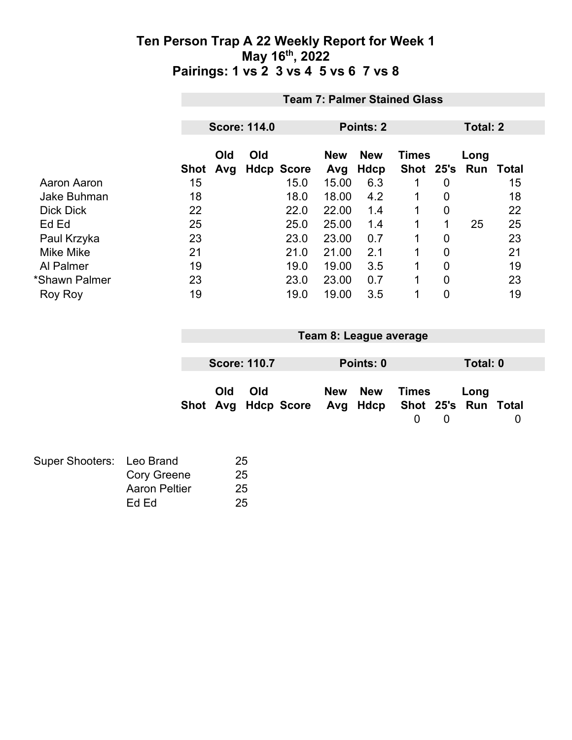|                  | <b>Team 7: Palmer Stained Glass</b> |            |     |                   |                   |                    |                        |                |      |       |  |
|------------------|-------------------------------------|------------|-----|-------------------|-------------------|--------------------|------------------------|----------------|------|-------|--|
|                  | <b>Score: 114.0</b><br>Points: 2    |            |     |                   |                   |                    | Total: 2               |                |      |       |  |
|                  |                                     |            |     |                   |                   |                    |                        |                |      |       |  |
|                  | <b>Shot</b>                         | Old<br>Avg | Old | <b>Hdcp Score</b> | <b>New</b><br>Avg | <b>New</b><br>Hdcp | Times<br>Shot 25's Run |                | Long | Total |  |
| Aaron Aaron      | 15                                  |            |     | 15.0              | 15.00             | 6.3                |                        | 0              |      | 15    |  |
| Jake Buhman      | 18                                  |            |     | 18.0              | 18.00             | 4.2                | 1                      | 0              |      | 18    |  |
| <b>Dick Dick</b> | 22                                  |            |     | 22.0              | 22.00             | 1.4                | 1                      | $\overline{0}$ |      | 22    |  |
| Ed Ed            | 25                                  |            |     | 25.0              | 25.00             | 1.4                | 1                      | 1              | 25   | 25    |  |
| Paul Krzyka      | 23                                  |            |     | 23.0              | 23.00             | 0.7                | 1                      | 0              |      | 23    |  |
| <b>Mike Mike</b> | 21                                  |            |     | 21.0              | 21.00             | 2.1                | 1                      | $\overline{0}$ |      | 21    |  |
| Al Palmer        | 19                                  |            |     | 19.0              | 19.00             | 3.5                | $\mathbf{1}$           | $\overline{0}$ |      | 19    |  |
| *Shawn Palmer    | 23                                  |            |     | 23.0              | 23.00             | 0.7                | $\mathbf 1$            | $\overline{0}$ |      | 23    |  |
| <b>Roy Roy</b>   | 19                                  |            |     | 19.0              | 19.00             | 3.5                | 1                      | $\overline{0}$ |      | 19    |  |

| Team 8: League average |                     |                                                  |  |           |            |   |          |  |
|------------------------|---------------------|--------------------------------------------------|--|-----------|------------|---|----------|--|
|                        |                     |                                                  |  |           |            |   |          |  |
|                        | <b>Score: 110.7</b> |                                                  |  | Points: 0 |            |   | Total: 0 |  |
| Old                    | Old                 | Shot Avg Hdcp Score Avg Hdcp Shot 25's Run Total |  | New New   | Times<br>0 | 0 | Long     |  |

| Super Shooters: Leo Brand |                      | 25 |
|---------------------------|----------------------|----|
|                           | <b>Cory Greene</b>   | 25 |
|                           | <b>Aaron Peltier</b> | 25 |
|                           | Ed Ed                | 25 |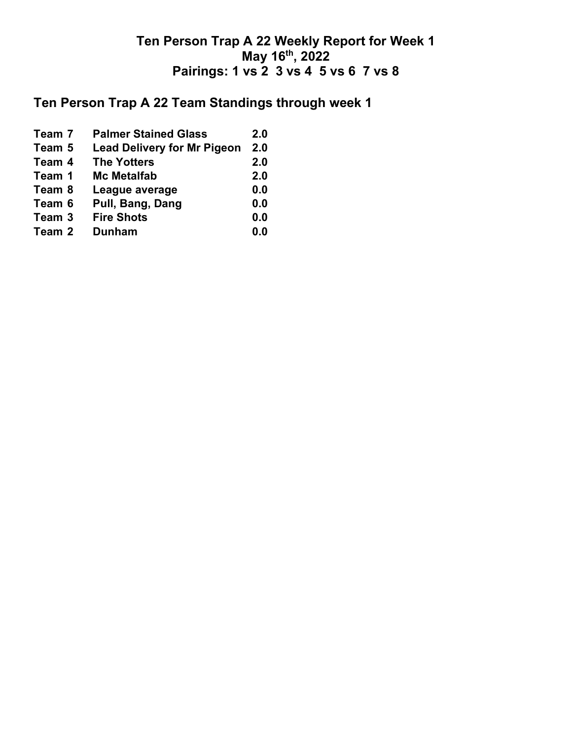# **Ten Person Trap A 22 Team Standings through week 1**

| Team 7 | <b>Palmer Stained Glass</b>        | 2.0 |
|--------|------------------------------------|-----|
| Team 5 | <b>Lead Delivery for Mr Pigeon</b> | 2.0 |
| Team 4 | <b>The Yotters</b>                 | 2.0 |
| Team 1 | <b>Mc Metalfab</b>                 | 2.0 |
| Team 8 | League average                     | 0.0 |
| Team 6 | Pull, Bang, Dang                   | 0.0 |
| Team 3 | <b>Fire Shots</b>                  | 0.0 |
| Team 2 | <b>Dunham</b>                      | 0.0 |
|        |                                    |     |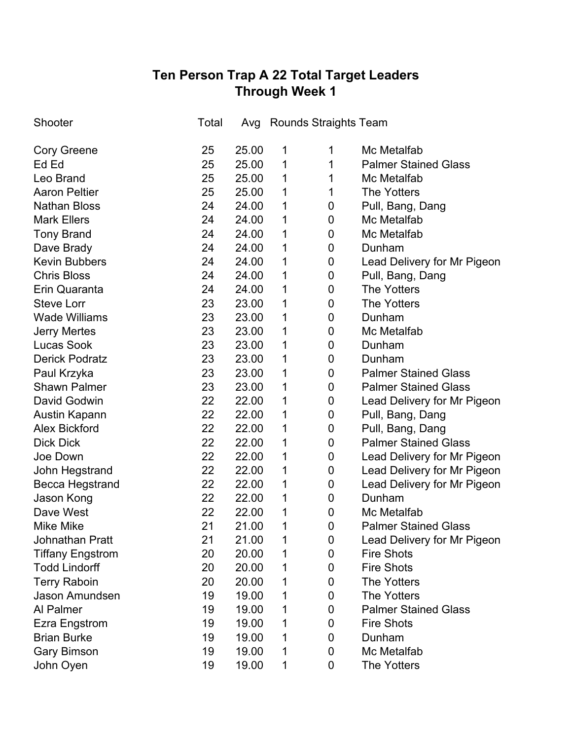# **Ten Person Trap A 22 Total Target Leaders Through Week 1**

| Shooter                 | Total | Avg   |   | Rounds Straights Team |                             |
|-------------------------|-------|-------|---|-----------------------|-----------------------------|
| <b>Cory Greene</b>      | 25    | 25.00 | 1 | 1                     | Mc Metalfab                 |
| Ed Ed                   | 25    | 25.00 | 1 | 1                     | <b>Palmer Stained Glass</b> |
| Leo Brand               | 25    | 25.00 | 1 | 1                     | Mc Metalfab                 |
| <b>Aaron Peltier</b>    | 25    | 25.00 | 1 | 1                     | <b>The Yotters</b>          |
| <b>Nathan Bloss</b>     | 24    | 24.00 | 1 | 0                     | Pull, Bang, Dang            |
| <b>Mark Ellers</b>      | 24    | 24.00 | 1 | 0                     | Mc Metalfab                 |
| <b>Tony Brand</b>       | 24    | 24.00 | 1 | 0                     | Mc Metalfab                 |
| Dave Brady              | 24    | 24.00 | 1 | $\boldsymbol{0}$      | Dunham                      |
| <b>Kevin Bubbers</b>    | 24    | 24.00 | 1 | $\boldsymbol{0}$      | Lead Delivery for Mr Pigeon |
| <b>Chris Bloss</b>      | 24    | 24.00 | 1 | 0                     | Pull, Bang, Dang            |
| Erin Quaranta           | 24    | 24.00 | 1 | 0                     | <b>The Yotters</b>          |
| <b>Steve Lorr</b>       | 23    | 23.00 | 1 | 0                     | <b>The Yotters</b>          |
| <b>Wade Williams</b>    | 23    | 23.00 | 1 | 0                     | Dunham                      |
| <b>Jerry Mertes</b>     | 23    | 23.00 | 1 | 0                     | Mc Metalfab                 |
| Lucas Sook              | 23    | 23.00 | 1 | 0                     | Dunham                      |
| <b>Derick Podratz</b>   | 23    | 23.00 | 1 | 0                     | Dunham                      |
| Paul Krzyka             | 23    | 23.00 | 1 | 0                     | <b>Palmer Stained Glass</b> |
| <b>Shawn Palmer</b>     | 23    | 23.00 | 1 | 0                     | <b>Palmer Stained Glass</b> |
| David Godwin            | 22    | 22.00 | 1 | 0                     | Lead Delivery for Mr Pigeon |
| Austin Kapann           | 22    | 22.00 | 1 | 0                     | Pull, Bang, Dang            |
| <b>Alex Bickford</b>    | 22    | 22.00 | 1 | 0                     | Pull, Bang, Dang            |
| <b>Dick Dick</b>        | 22    | 22.00 | 1 | 0                     | <b>Palmer Stained Glass</b> |
| Joe Down                | 22    | 22.00 | 1 | 0                     | Lead Delivery for Mr Pigeon |
| John Hegstrand          | 22    | 22.00 | 1 | 0                     | Lead Delivery for Mr Pigeon |
| <b>Becca Hegstrand</b>  | 22    | 22.00 | 1 | 0                     | Lead Delivery for Mr Pigeon |
| Jason Kong              | 22    | 22.00 | 1 | 0                     | Dunham                      |
| Dave West               | 22    | 22.00 | 1 | 0                     | Mc Metalfab                 |
| <b>Mike Mike</b>        | 21    | 21.00 | 1 | 0                     | <b>Palmer Stained Glass</b> |
| <b>Johnathan Pratt</b>  | 21    | 21.00 | 1 | 0                     | Lead Delivery for Mr Pigeon |
| <b>Tiffany Engstrom</b> | 20    | 20.00 | 1 | 0                     | <b>Fire Shots</b>           |
| <b>Todd Lindorff</b>    | 20    | 20.00 | 1 | 0                     | <b>Fire Shots</b>           |
| <b>Terry Raboin</b>     | 20    | 20.00 | 1 | 0                     | <b>The Yotters</b>          |
| Jason Amundsen          | 19    | 19.00 | 1 | 0                     | <b>The Yotters</b>          |
| Al Palmer               | 19    | 19.00 | 1 | 0                     | <b>Palmer Stained Glass</b> |
| <b>Ezra Engstrom</b>    | 19    | 19.00 | 1 | 0                     | <b>Fire Shots</b>           |
| <b>Brian Burke</b>      | 19    | 19.00 | 1 | 0                     | Dunham                      |
| <b>Gary Bimson</b>      | 19    | 19.00 | 1 | 0                     | Mc Metalfab                 |
| John Oyen               | 19    | 19.00 | 1 | 0                     | The Yotters                 |